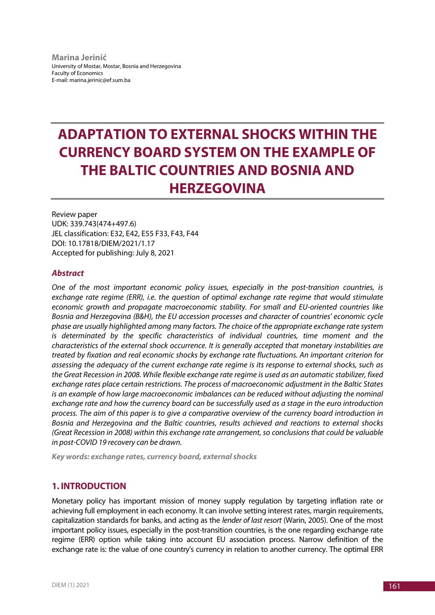**Marina Jerinić** University of Mostar, Mostar, Bosnia and Herzegovina Faculty of Economics E-mail: marina.jerinic@ef.sum.ba

# **ADAPTATION TO EXTERNAL SHOCKS WITHIN THE CURRENCY BOARD SYSTEM ON THE EXAMPLE OF THE BALTIC COUNTRIES AND BOSNIA AND HERZEGOVINA**

Review paper UDK: 339.743(474+497.6) JEL classification: E32, E42, E55 F33, F43, F44 DOI: 10.17818/DIEM/2021/1.17 Accepted for publishing: July 8, 2021

## *Abstract*

*One of the most important economic policy issues, especially in the post-transition countries, is exchange rate regime (ERR), i.e. the question of optimal exchange rate regime that would stimulate economic growth and propagate macroeconomic stability. For small and EU-oriented countries like Bosnia and Herzegovina (B&H), the EU accession processes and character of countries' economic cycle phase are usually highlighted among many factors. The choice of the appropriate exchange rate system is determinated by the specific characteristics of individual countries, time moment and the characteristics of the external shock occurrence. It is generally accepted that monetary instabilities are treated by fixation and real economic shocks by exchange rate fluctuations. An important criterion for assessing the adequacy of the current exchange rate regime is its response to external shocks, such as the Great Recession in 2008. While flexible exchange rate regime is used as an automatic stabilizer, fixed exchange rates place certain restrictions. The process of macroeconomic adjustment in the Baltic States is an example of how large macroeconomic imbalances can be reduced without adjusting the nominal exchange rate and how the currency board can be successfully used as a stage in the euro introduction process. The aim of this paper is to give a comparative overview of the currency board introduction in Bosnia and Herzegovina and the Baltic countries, results achieved and reactions to external shocks (Great Recession in 2008) within this exchange rate arrangement, so conclusions that could be valuable in post-COVID 19 recovery can be drawn.*

*Key words: exchange rates, currency board, external shocks*

## **1. INTRODUCTION**

Monetary policy has important mission of money supply regulation by targeting inflation rate or achieving full employment in each economy. It can involve setting interest rates, margin requirements, capitalization standards for banks, and acting as the *lender of last resort* (Warin, 2005). One of the most important policy issues, especially in the post-transition countries, is the one regarding exchange rate regime (ERR) option while taking into account EU association process. Narrow definition of the exchange rate is: the value of one country's currency in relation to another currency. The optimal ERR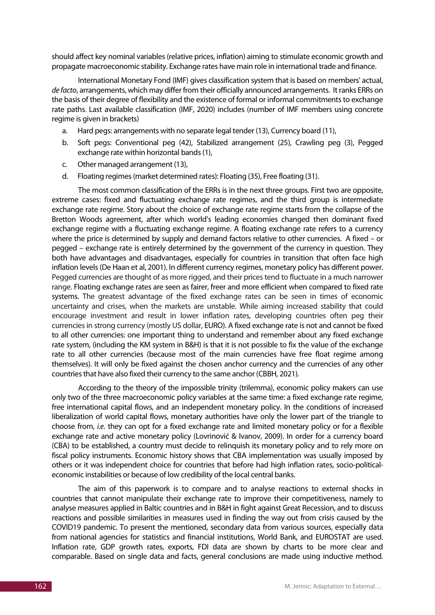should affect key nominal variables (relative prices, inflation) aiming to stimulate economic growth and propagate macroeconomic stability. Exchange rates have main role in international trade and finance.

International Monetary Fond (IMF) gives classification system that is based on members' actual, *de facto*, arrangements, which may differ from their officially announced arrangements. It ranks ERRs on the basis of their degree of flexibility and the existence of formal or informal commitments to exchange rate paths. Last available classification (IMF, 2020) includes (number of IMF members using concrete regime is given in brackets)

- a. Hard pegs: arrangements with no separate legal tender (13), Currency board (11),
- b. Soft pegs: Conventional peg (42), Stabilized arrangement (25), Crawling peg (3), Pegged exchange rate within horizontal bands (1),
- c. Other managed arrangement (13),
- d. Floating regimes (market determined rates): Floating (35), Free floating (31).

The most common classification of the ERRs is in the next three groups. First two are opposite, extreme cases: fixed and fluctuating exchange rate regimes, and the third group is intermediate exchange rate regime. Story about the choice of exchange rate regime starts from the collapse of the Bretton Woods agreement, after which world's leading economies changed then dominant fixed exchange regime with a fluctuating exchange regime. A floating exchange rate refers to a currency where the price is determined by supply and demand factors relative to other currencies. A fixed – or pegged – exchange rate is entirely determined by the government of the currency in question. They both have advantages and disadvantages, especially for countries in transition that often face high inflation levels(De Haan et al, 2001). In different currency regimes, monetary policy has different power. Pegged currencies are thought of as more rigged, and their prices tend to fluctuate in a much narrower range. Floating exchange rates are seen as fairer, freer and more efficient when compared to fixed rate systems. The greatest advantage of the fixed exchange rates can be seen in times of economic uncertainty and crises, when the markets are unstable. While aiming increased stability that could encourage investment and result in lower inflation rates, developing countries often peg their currencies in strong currency (mostly US dollar, EURO). A fixed exchange rate is not and cannot be fixed to all other currencies: one important thing to understand and remember about any fixed exchange rate system, (including the KM system in B&H) is that it is not possible to fix the value of the exchange rate to all other currencies (because most of the main currencies have free float regime among themselves). It will only be fixed against the chosen anchor currency and the currencies of any other countries that have also fixed their currency to the same anchor (CBBH, 2021).

According to the theory of the impossible trinity (trilemma), economic policy makers can use only two of the three macroeconomic policy variables at the same time: a fixed exchange rate regime, free international capital flows, and an independent monetary policy. In the conditions of increased liberalization of world capital flows, monetary authorities have only the lower part of the triangle to choose from, *i.e.* they can opt for a fixed exchange rate and limited monetary policy or for a flexible exchange rate and active monetary policy (Lovrinović & Ivanov, 2009). In order for a currency board (CBA) to be established, a country must decide to relinquish its monetary policy and to rely more on fiscal policy instruments. Economic history shows that CBA implementation was usually imposed by others or it was independent choice for countries that before had high inflation rates, socio-politicaleconomic instabilities or because of low credibility of the local central banks.

The aim of this paperwork is to compare and to analyse reactions to external shocks in countries that cannot manipulate their exchange rate to improve their competitiveness, namely to analyse measures applied in Baltic countries and in B&H in fight against Great Recession, and to discuss reactions and possible similarities in measures used in finding the way out from crisis caused by the COVID19 pandemic. To present the mentioned, secondary data from various sources, especially data from national agencies for statistics and financial institutions, World Bank, and EUROSTAT are used. Inflation rate, GDP growth rates, exports, FDI data are shown by charts to be more clear and comparable. Based on single data and facts, general conclusions are made using inductive method.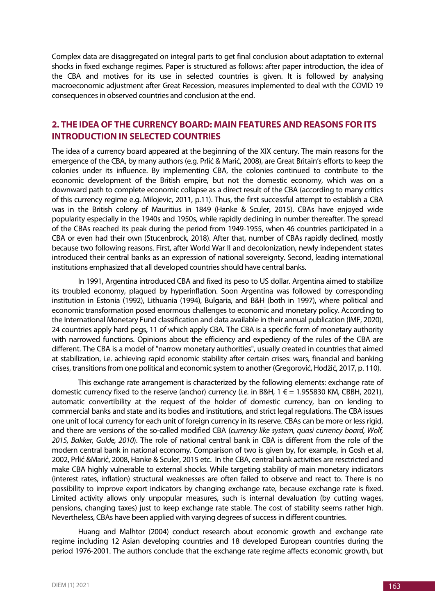Complex data are disaggregated on integral parts to get final conclusion about adaptation to external shocks in fixed exchange regimes. Paper is structured as follows: after paper introduction, the idea of the CBA and motives for its use in selected countries is given. It is followed by analysing macroeconomic adjustment after Great Recession, measures implemented to deal wıth the COVID 19 consequences in observed countries and conclusion at the end.

# **2. THE IDEA OF THE CURRENCY BOARD: MAIN FEATURES AND REASONS FOR ITS INTRODUCTION IN SELECTED COUNTRIES**

The idea of a currency board appeared at the beginning of the XIX century. The main reasons for the emergence of the CBA, by many authors (e.g. Prlić & Marić, 2008), are Great Britain's efforts to keep the colonies under its influence. By implementing CBA, the colonies continued to contribute to the economic development of the British empire, but not the domestic economy, which was on a downward path to complete economic collapse as a direct result of the CBA (according to many critics of this currency regime e.g. Milojevic, 2011, p.11). Thus, the first successful attempt to establish a CBA was in the British colony of Mauritius in 1849 (Hanke & Sculer, 2015). CBAs have enjoyed wide popularity especially in the 1940s and 1950s, while rapidly declining in number thereafter. The spread of the CBAs reached its peak during the period from 1949-1955, when 46 countries participated in a CBA or even had their own (Stucenbrock, 2018). After that, number of CBAs rapidly declined, mostly because two following reasons. First, after World War II and decolonization, newly independent states introduced their central banks as an expression of national sovereignty. Second, leading international institutions emphasized that all developed countries should have central banks.

In 1991, Argentina introduced CBA and fixed its peso to US dollar. Argentina aimed to stabilize its troubled economy, plagued by hyperinflation. Soon Argentina was followed by corresponding institution in Estonia (1992), Lithuania (1994), Bulgaria, and B&H (both in 1997), where political and economic transformation posed enormous challenges to economic and monetary policy. According to the International Monetary Fund classification and data available in their annual publication (IMF, 2020), 24 countries apply hard pegs, 11 of which apply CBA. The CBA is a specific form of monetary authority with narrowed functions. Opinions about the efficiency and expediency of the rules of the CBA are different. The CBA is a model of "narrow monetary authorities", usually created in countries that aimed at stabilization, i.e. achieving rapid economic stability after certain crises: wars, financial and banking crises, transitions from one political and economic system to another (Gregorović, Hodžić, 2017, p. 110).

This exchange rate arrangement is characterized by the following elements: exchange rate of domestic currency fixed to the reserve (anchor) currency (*i.e.* in B&H, 1 € = 1.955830 KM, CBBH, 2021), automatic convertibility at the request of the holder of domestic currency, ban on lending to commercial banks and state and its bodies and institutions, and strict legal regulations. The CBA issues one unit of local currency for each unit of foreign currency in its reserve. CBAs can be more or less rigid, and there are versions of the so-called modified CBA (*currency like system, quasi currency board, Wolf, 2015, Bakker, Gulde, 2010*). The role of national central bank in CBA is different from the role of the modern central bank in national economy. Comparison of two is given by, for example, in Gosh et al, 2002, Prlić &Marić, 2008, Hanke & Sculer, 2015 etc. In the CBA, central bank activities are resctricted and make CBA highly vulnerable to external shocks. While targeting stability of main monetary indicators (interest rates, inflation) structural weaknesses are often failed to observe and react to. There is no possibility to improve export indicators by changing exchange rate, because exchange rate is fixed. Limited activity allows only unpopular measures, such is internal devaluation (by cutting wages, pensions, changing taxes) just to keep exchange rate stable. The cost of stability seems rather high. Nevertheless, CBAs have been applied with varying degrees of success in different countries.

Huang and Malhtor (2004) conduct research about economic growth and exchange rate regime including 12 Asian developing countries and 18 developed European countries during the period 1976-2001. The authors conclude that the exchange rate regime affects economic growth, but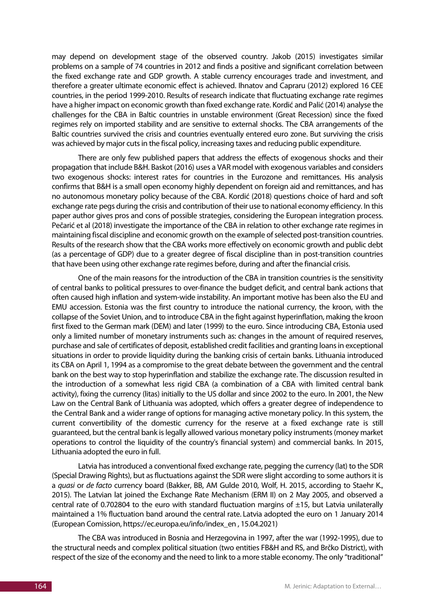may depend on development stage of the observed country. Jakob (2015) investigates similar problems on a sample of 74 countries in 2012 and finds a positive and significant correlation between the fixed exchange rate and GDP growth. A stable currency encourages trade and investment, and therefore a greater ultimate economic effect is achieved. Ihnatov and Capraru (2012) explored 16 CEE countries, in the period 1999-2010. Results of research indicate that fluctuating exchange rate regimes have a higher impact on economic growth than fixed exchange rate. Kordić and Palić (2014) analyse the challenges for the CBA in Baltic countries in unstable environment (Great Recession) since the fixed regimes rely on imported stability and are sensitive to external shocks. The CBA arrangements of the Baltic countries survived the crisis and countries eventually entered euro zone. But surviving the crisis was achieved by major cuts in the fiscal policy, increasing taxes and reducing public expenditure.

There are only few published papers that address the effects of exogenous shocks and their propagation that include B&H. Baskot (2016) uses a VAR model with exogenous variables and considers two exogenous shocks: interest rates for countries in the Eurozone and remittances. His analysis confirms that B&H is a small open economy highly dependent on foreign aid and remittances, and has no autonomous monetary policy because of the CBA. Kordić (2018) questions choice of hard and soft exchange rate pegs during the crisis and contribution of their use to national economy efficiency. In this paper author gives pros and cons of possible strategies, considering the European integration process. Pečarić et al (2018) investigate the importance of the CBA in relation to other exchange rate regimes in maintaining fiscal discipline and economic growth on the example of selected post-transition countries. Results of the research show that the CBA works more effectively on economic growth and public debt (as a percentage of GDP) due to a greater degree of fiscal discipline than in post-transition countries that have been using other exchange rate regimes before, during and after the financial crisis.

One of the main reasons for the introduction of the CBA in transition countries is the sensitivity of central banks to political pressures to over-finance the budget deficit, and central bank actions that often caused high inflation and system-wide instability. An important motive has been also the EU and EMU accession. Estonia was the first country to introduce the national currency, the kroon, with the collapse of the Soviet Union, and to introduce CBA in the fight against hyperinflation, making the kroon first fixed to the German mark (DEM) and later (1999) to the euro. Since introducing CBA, Estonia used only a limited number of monetary instruments such as: changes in the amount of required reserves, purchase and sale of certificates of deposit, established credit facilities and granting loans in exceptional situations in order to provide liquidity during the banking crisis of certain banks. Lithuania introduced its CBA on April 1, 1994 as a compromise to the great debate between the government and the central bank on the best way to stop hyperinflation and stabilize the exchange rate. The discussion resulted in the introduction of a somewhat less rigid CBA (a combination of a CBA with limited central bank activity), fixing the currency (litas) initially to the US dollar and since 2002 to the euro. In 2001, the New Law on the Central Bank of Lithuania was adopted, which offers a greater degree of independence to the Central Bank and a wider range of options for managing active monetary policy. In this system, the current convertibility of the domestic currency for the reserve at a fixed exchange rate is still guaranteed, but the central bank is legally allowed various monetary policy instruments (money market operations to control the liquidity of the country's financial system) and commercial banks. In 2015, Lithuania adopted the euro in full.

Latvia has introduced a conventional fixed exchange rate, pegging the currency (lat) to the SDR (Special Drawing Rights), but as fluctuations against the SDR were slight according to some authors it is a *quasi* or *de facto* currency board (Bakker, BB, AM Gulde 2010, Wolf, H. 2015, according to Staehr K., 2015). The Latvian lat joined the Exchange Rate Mechanism (ERM II) on 2 May 2005, and observed a central rate of 0.702804 to the euro with standard fluctuation margins of  $\pm 15$ , but Latvia unilaterally maintained a 1% fluctuation band around the central rate. Latvia adopted the euro on 1 January 2014 (European Comission, https://ec.europa.eu/info/index\_en , 15.04.2021)

The CBA was introduced in Bosnia and Herzegovina in 1997, after the war (1992-1995), due to the structural needs and complex political situation (two entities FB&H and RS, and Brčko District), with respect of the size of the economy and the need to link to a more stable economy. The only "traditional"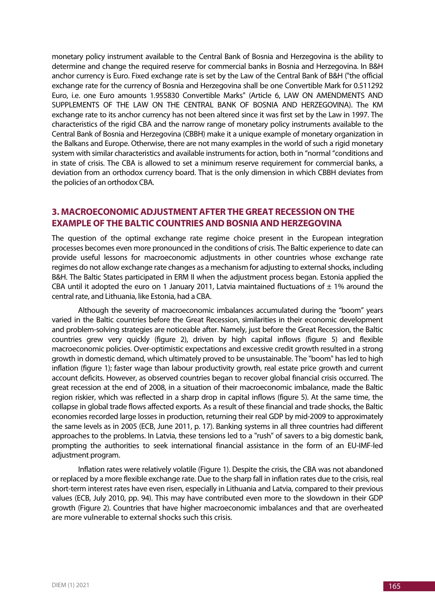monetary policy instrument available to the Central Bank of Bosnia and Herzegovina is the ability to determine and change the required reserve for commercial banks in Bosnia and Herzegovina. In B&H anchor currency is Euro. Fixed exchange rate is set by the Law of the Central Bank of B&H ("the official exchange rate for the currency of Bosnia and Herzegovina shall be one Convertible Mark for 0.511292 Euro, i.e. one Euro amounts 1.955830 Convertible Marks" (Article 6, LAW ON AMENDMENTS AND SUPPLEMENTS OF THE LAW ON THE CENTRAL BANK OF BOSNIA AND HERZEGOVINA). The KM exchange rate to its anchor currency has not been altered since it was first set by the Law in 1997. The characteristics of the rigid CBA and the narrow range of monetary policy instruments available to the Central Bank of Bosnia and Herzegovina (CBBH) make it a unique example of monetary organization in the Balkans and Europe. Otherwise, there are not many examples in the world of such a rigid monetary system with similar characteristics and available instruments for action, both in "normal "conditions and in state of crisis. The CBA is allowed to set a minimum reserve requirement for commercial banks, a deviation from an orthodox currency board. That is the only dimension in which CBBH deviates from the policies of an orthodox CBA.

# **3. MACROECONOMIC ADJUSTMENT AFTER THE GREAT RECESSION ON THE EXAMPLE OF THE BALTIC COUNTRIES AND BOSNIA AND HERZEGOVINA**

The question of the optimal exchange rate regime choice present in the European integration processes becomes even more pronounced in the conditions of crisis. The Baltic experience to date can provide useful lessons for macroeconomic adjustments in other countries whose exchange rate regimes do not allow exchange rate changes as a mechanism for adjusting to external shocks, including B&H. The Baltic States participated in ERM II when the adjustment process began. Estonia applied the CBA until it adopted the euro on 1 January 2011, Latvia maintained fluctuations of  $\pm$  1% around the central rate, and Lithuania, like Estonia, had a CBA.

Although the severity of macroeconomic imbalances accumulated during the "boom" years varied in the Baltic countries before the Great Recession, similarities in their economic development and problem-solving strategies are noticeable after. Namely, just before the Great Recession, the Baltic countries grew very quickly (figure 2), driven by high capital inflows (figure 5) and flexible macroeconomic policies. Over-optimistic expectations and excessive credit growth resulted in a strong growth in domestic demand, which ultimately proved to be unsustainable. The "boom" has led to high inflation (figure 1); faster wage than labour productivity growth, real estate price growth and current account deficits. However, as observed countries began to recover global financial crisis occurred. The great recession at the end of 2008, in a situation of their macroeconomic imbalance, made the Baltic region riskier, which was reflected in a sharp drop in capital inflows (figure 5). At the same time, the collapse in global trade flows affected exports. As a result of these financial and trade shocks, the Baltic economies recorded large losses in production, returning their real GDP by mid-2009 to approximately the same levels as in 2005 (ECB, June 2011, p. 17). Banking systems in all three countries had different approaches to the problems. In Latvia, these tensions led to a "rush" of savers to a big domestic bank, prompting the authorities to seek international financial assistance in the form of an EU-IMF-led adjustment program.

Inflation rates were relatively volatile (Figure 1). Despite the crisis, the CBA was not abandoned or replaced by a more flexible exchange rate. Due to the sharp fall in inflation rates due to the crisis, real short-term interest rates have even risen, especially in Lithuania and Latvia, compared to their previous values (ECB, July 2010, pp. 94). This may have contributed even more to the slowdown in their GDP growth (Figure 2). Countries that have higher macroeconomic imbalances and that are overheated are more vulnerable to external shocks such this crisis.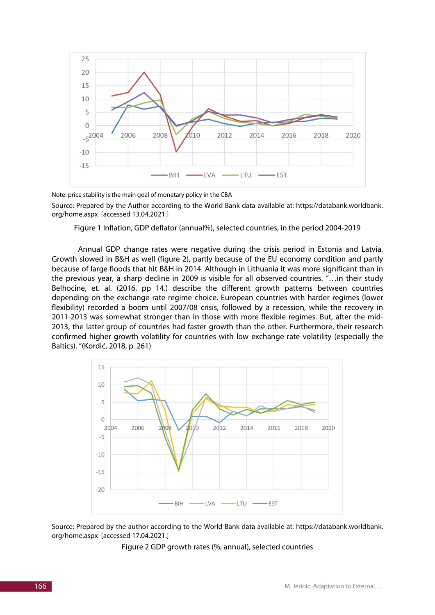

Note: price stability is the main goal of monetary policy in the CBA

Source: Prepared by the Author according to the World Bank data available at: https://databank.worldbank. org/home.aspx [accessed 13.04.2021.]

Figure 1 Inflation, GDP deflator (annual%), selected countries, in the period 2004-2019

Annual GDP change rates were negative during the crisis period in Estonia and Latvia. Growth slowed in B&H as well (figure 2), partly because of the EU economy condition and partly because of large floods that hit B&H in 2014. Although in Lithuania it was more significant than in the previous year, a sharp decline in 2009 is visible for all observed countries. "…in their study Belhocine, et. al. (2016, pp 14.) describe the different growth patterns between countries depending on the exchange rate regime choice. European countries with harder regimes (lower flexibility) recorded a boom until 2007/08 crisis, followed by a recession, while the recovery in 2011-2013 was somewhat stronger than in those with more flexible regimes. But, after the mid-2013, the latter group of countries had faster growth than the other. Furthermore, their research confirmed higher growth volatility for countries with low exchange rate volatility (especially the Baltics). "(Kordić, 2018, p. 261)



Source: Prepared by the author according to the World Bank data available at: https://databank.worldbank. org/home.aspx [accessed 17.04.2021.]

Figure 2 GDP growth rates (%, annual), selected countries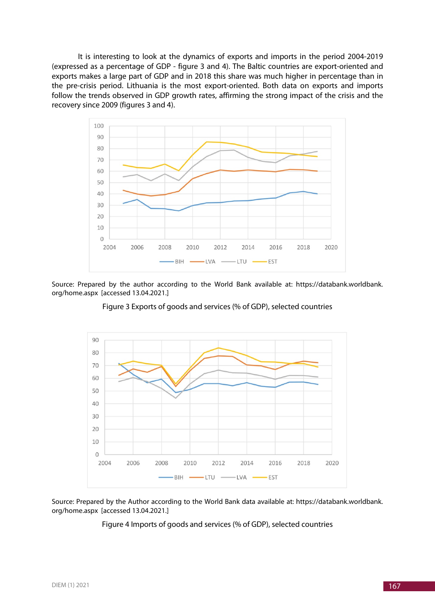It is interesting to look at the dynamics of exports and imports in the period 2004-2019 (expressed as a percentage of GDP - figure 3 and 4). The Baltic countries are export-oriented and exports makes a large part of GDP and in 2018 this share was much higher in percentage than in the pre-crisis period. Lithuania is the most export-oriented. Both data on exports and imports follow the trends observed in GDP growth rates, affirming the strong impact of the crisis and the recovery since 2009 (figures 3 and 4).



Source: Prepared by the author according to the World Bank available at: https://databank.worldbank. org/home.aspx [accessed 13.04.2021.]

Figure 3 Exports of goods and services (% of GDP), selected countries



Source: Prepared by the Author according to the World Bank data available at: https://databank.worldbank. org/home.aspx [accessed 13.04.2021.]

Figure 4 Imports of goods and services (% of GDP), selected countries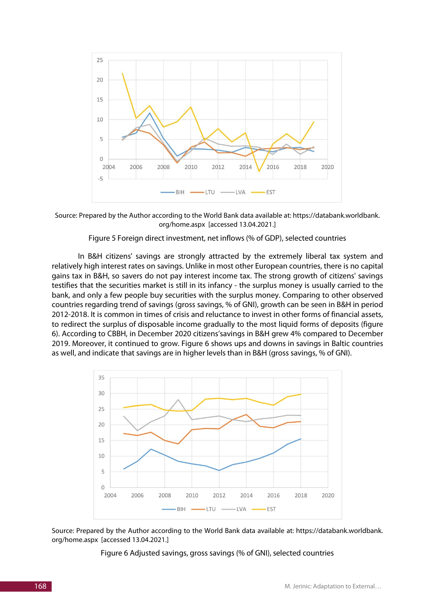

Source: Prepared by the Author according to the World Bank data available at: https://databank.worldbank. org/home.aspx [accessed 13.04.2021.]

#### Figure 5 Foreign direct investment, net inflows (% of GDP), selected countries

In B&H citizens' savings are strongly attracted by the extremely liberal tax system and relatively high interest rates on savings. Unlike in most other European countries, there is no capital gains tax in B&H, so savers do not pay interest income tax. The strong growth of citizens' savings testifies that the securities market is still in its infancy - the surplus money is usually carried to the bank, and only a few people buy securities with the surplus money. Comparing to other observed countries regarding trend of savings (gross savings, % of GNI), growth can be seen in B&H in period 2012-2018. It is common in times of crisis and reluctance to invest in other forms of financial assets, to redirect the surplus of disposable income gradually to the most liquid forms of deposits (figure 6). According to CBBH, in December 2020 citizens'savings in B&H grew 4% compared to December 2019. Moreover, it continued to grow. Figure 6 shows ups and downs in savings in Baltic countries as well, and indicate that savings are in higher levels than in B&H (gross savings, % of GNI).



Source: Prepared by the Author according to the World Bank data available at: https://databank.worldbank. org/home.aspx [accessed 13.04.2021.]

Figure 6 Adjusted savings, gross savings (% of GNI), selected countries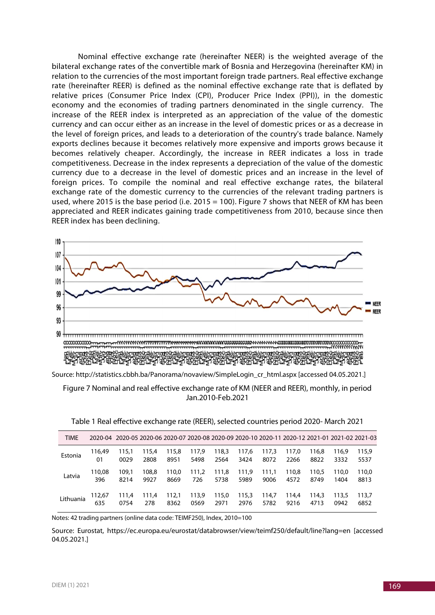Nominal effective exchange rate (hereinafter NEER) is the weighted average of the bilateral exchange rates of the convertible mark of Bosnia and Herzegovina (hereinafter KM) in relation to the currencies of the most important foreign trade partners. Real effective exchange rate (hereinafter REER) is defined as the nominal effective exchange rate that is deflated by relative prices (Consumer Price Index (CPI), Producer Price Index (PPI)), in the domestic economy and the economies of trading partners denominated in the single currency. The increase of the REER index is interpreted as an appreciation of the value of the domestic currency and can occur either as an increase in the level of domestic prices or as a decrease in the level of foreign prices, and leads to a deterioration of the country's trade balance. Namely exports declines because it becomes relatively more expensive and imports grows because it becomes relatively cheaper. Accordingly, the increase in REER indicates a loss in trade competitiveness. Decrease in the index represents a depreciation of the value of the domestic currency due to a decrease in the level of domestic prices and an increase in the level of foreign prices. To compile the nominal and real effective exchange rates, the bilateral exchange rate of the domestic currency to the currencies of the relevant trading partners is used, where 2015 is the base period (i.e. 2015 = 100). Figure 7 shows that NEER of KM has been appreciated and REER indicates gaining trade competitiveness from 2010, because since then REER index has been declining.



Source: http://statistics.cbbh.ba/Panorama/novaview/SimpleLogin\_cr\_html.aspx [accessed 04.05.2021.]

Figure 7 Nominal and real effective exchange rate of KM (NEER and REER), monthly, in period Jan.2010-Feb.2021

| <b>TIME</b> | 2020-04 2020-05 2020-06 2020-07 2020-08 2020-09 2020-10 2020-11 2020-12 2021-01 2021-02 2021-03 |       |       |       |       |       |       |       |       |       |       |       |
|-------------|-------------------------------------------------------------------------------------------------|-------|-------|-------|-------|-------|-------|-------|-------|-------|-------|-------|
| Estonia     | 116.49                                                                                          | 115.1 | 115.4 | 115,8 | 117,9 | 118,3 | 117,6 | 117.3 | 117.0 | 116.8 | 116.9 | 115.9 |
|             | 01                                                                                              | 0029  | 2808  | 8951  | 5498  | 2564  | 3424  | 8072  | 2266  | 8822  | 3332  | 5537  |
| Latvia      | 110,08                                                                                          | 109.1 | 108.8 | 110.0 | 111.2 | 111,8 | 111.9 | 111.1 | 110.8 | 110.5 | 110.0 | 110.0 |
|             | 396                                                                                             | 8214  | 9927  | 8669  | 726   | 5738  | 5989  | 9006  | 4572  | 8749  | 1404  | 8813  |
| Lithuania   | 112,67                                                                                          | 111,4 | 111.4 | 112,1 | 113,9 | 115,0 | 115,3 | 114.7 | 114.4 | 114.3 | 113.5 | 113.7 |
|             | 635                                                                                             | 0754  | 278   | 8362  | 0569  | 2971  | 2976  | 5782  | 9216  | 4713  | 0942  | 6852  |

Table 1 Real effective exchange rate (REER), selected countries period 2020- March 2021

Notes: 42 trading partners (online data code: TEIMF250), Index, 2010=100

Source: Eurostat, https://ec.europa.eu/eurostat/databrowser/view/teimf250/default/line?lang=en [accessed 04.05.2021.]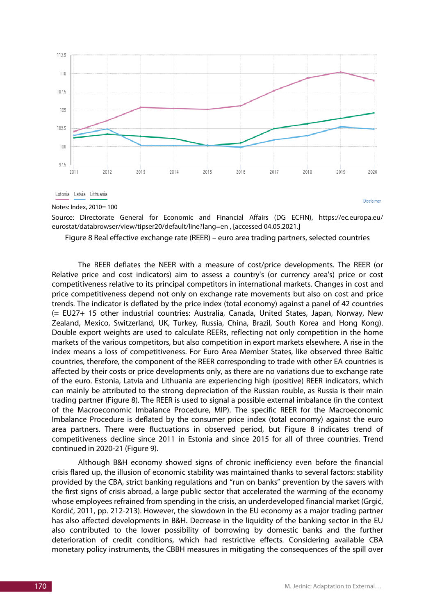

Source: Directorate General for Economic and Financial Affairs (DG ECFIN), https://ec.europa.eu/ eurostat/databrowser/view/tipser20/default/line?lang=en , [accessed 04.05.2021.]

Figure 8 Real effective exchange rate (REER) – euro area trading partners, selected countries

The REER deflates the NEER with a measure of cost/price developments. The REER (or Relative price and cost indicators) aim to assess a country's (or currency area's) price or cost competitiveness relative to its principal competitors in international markets. Changes in cost and price competitiveness depend not only on exchange rate movements but also on cost and price trends. The indicator is deflated by the price index (total economy) against a panel of 42 countries (= EU27+ 15 other industrial countries: Australia, Canada, United States, Japan, Norway, New Zealand, Mexico, Switzerland, UK, Turkey, Russia, China, Brazil, South Korea and Hong Kong). Double export weights are used to calculate REERs, reflecting not only competition in the home markets of the various competitors, but also competition in export markets elsewhere. A rise in the index means a loss of competitiveness. For Euro Area Member States, like observed three Baltic countries, therefore, the component of the REER corresponding to trade with other EA countries is affected by their costs or price developments only, as there are no variations due to exchange rate of the euro. Estonia, Latvia and Lithuania are experiencing high (positive) REER indicators, which can mainly be attributed to the strong depreciation of the Russian rouble, as Russia is their main trading partner (Figure 8). The REER is used to signal a possible external imbalance (in the context of the Macroeconomic Imbalance Procedure, MIP). The specific REER for the Macroeconomic Imbalance Procedure is deflated by the consumer price index (total economy) against the euro area partners. There were fluctuations in observed period, but Figure 8 indicates trend of competitiveness decline since 2011 in Estonia and since 2015 for all of three countries. Trend continued in 2020-21 (Figure 9).

Although B&H economy showed signs of chronic inefficiency even before the financial crisis flared up, the illusion of economic stability was maintained thanks to several factors: stability provided by the CBA, strict banking regulations and "run on banks" prevention by the savers with the first signs of crisis abroad, a large public sector that accelerated the warming of the economy whose employees refrained from spending in the crisis, an underdeveloped financial market (Grgić, Kordić, 2011, pp. 212-213). However, the slowdown in the EU economy as a major trading partner has also affected developments in B&H. Decrease in the liquidity of the banking sector in the EU also contributed to the lower possibility of borrowing by domestic banks and the further deterioration of credit conditions, which had restrictive effects. Considering available CBA monetary policy instruments, the CBBH measures in mitigating the consequences of the spill over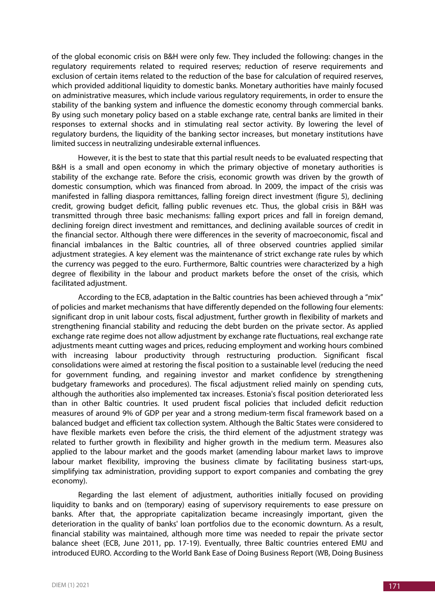of the global economic crisis on B&H were only few. They included the following: changes in the regulatory requirements related to required reserves; reduction of reserve requirements and exclusion of certain items related to the reduction of the base for calculation of required reserves, which provided additional liquidity to domestic banks. Monetary authorities have mainly focused on administrative measures, which include various regulatory requirements, in order to ensure the stability of the banking system and influence the domestic economy through commercial banks. By using such monetary policy based on a stable exchange rate, central banks are limited in their responses to external shocks and in stimulating real sector activity. By lowering the level of regulatory burdens, the liquidity of the banking sector increases, but monetary institutions have limited success in neutralizing undesirable external influences.

However, it is the best to state that this partial result needs to be evaluated respecting that B&H is a small and open economy in which the primary objective of monetary authorities is stability of the exchange rate. Before the crisis, economic growth was driven by the growth of domestic consumption, which was financed from abroad. In 2009, the impact of the crisis was manifested in falling diaspora remittances, falling foreign direct investment (figure 5), declining credit, growing budget deficit, falling public revenues etc. Thus, the global crisis in B&H was transmitted through three basic mechanisms: falling export prices and fall in foreign demand, declining foreign direct investment and remittances, and declining available sources of credit in the financial sector. Although there were differences in the severity of macroeconomic, fiscal and financial imbalances in the Baltic countries, all of three observed countries applied similar adjustment strategies. A key element was the maintenance of strict exchange rate rules by which the currency was pegged to the euro. Furthermore, Baltic countries were characterized by a high degree of flexibility in the labour and product markets before the onset of the crisis, which facilitated adjustment.

According to the ECB, adaptation in the Baltic countries has been achieved through a "mix" of policies and market mechanisms that have differently depended on the following four elements: significant drop in unit labour costs, fiscal adjustment, further growth in flexibility of markets and strengthening financial stability and reducing the debt burden on the private sector. As applied exchange rate regime does not allow adjustment by exchange rate fluctuations, real exchange rate adjustments meant cutting wages and prices, reducing employment and working hours combined with increasing labour productivity through restructuring production. Significant fiscal consolidations were aimed at restoring the fiscal position to a sustainable level (reducing the need for government funding, and regaining investor and market confidence by strengthening budgetary frameworks and procedures). The fiscal adjustment relied mainly on spending cuts, although the authorities also implemented tax increases. Estonia's fiscal position deteriorated less than in other Baltic countries. It used prudent fiscal policies that included deficit reduction measures of around 9% of GDP per year and a strong medium-term fiscal framework based on a balanced budget and efficient tax collection system. Although the Baltic States were considered to have flexible markets even before the crisis, the third element of the adjustment strategy was related to further growth in flexibility and higher growth in the medium term. Measures also applied to the labour market and the goods market (amending labour market laws to improve labour market flexibility, improving the business climate by facilitating business start-ups, simplifying tax administration, providing support to export companies and combating the grey economy).

Regarding the last element of adjustment, authorities initially focused on providing liquidity to banks and on (temporary) easing of supervisory requirements to ease pressure on banks. After that, the appropriate capitalization became increasingly important, given the deterioration in the quality of banks' loan portfolios due to the economic downturn. As a result, financial stability was maintained, although more time was needed to repair the private sector balance sheet (ECB, June 2011, pp. 17-19). Eventually, three Baltic countries entered EMU and introduced EURO. According to the World Bank Ease of Doing Business Report (WB, Doing Business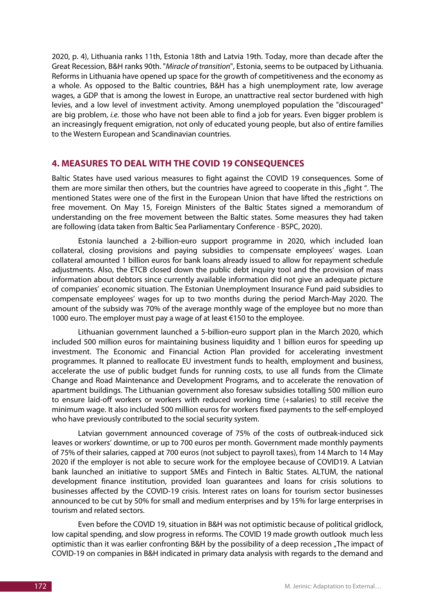2020, p. 4), Lithuania ranks 11th, Estonia 18th and Latvia 19th. Today, more than decade after the Great Recession, B&H ranks 90th. "*Miracle of transition*", Estonia, seems to be outpaced by Lithuania. Reforms in Lithuania have opened up space for the growth of competitiveness and the economy as a whole. As opposed to the Baltic countries, B&H has a high unemployment rate, low average wages, a GDP that is among the lowest in Europe, an unattractive real sector burdened with high levies, and a low level of investment activity. Among unemployed population the "discouraged" are big problem, *i.e.* those who have not been able to find a job for years. Even bigger problem is an increasingly frequent emigration, not only of educated young people, but also of entire families to the Western European and Scandinavian countries.

# **4. MEASURES TO DEAL WITH THE COVID 19 CONSEQUENCES**

Baltic States have used various measures to fight against the COVID 19 consequences. Some of them are more similar then others, but the countries have agreed to cooperate in this "fight ". The mentioned States were one of the first in the European Union that have lifted the restrictions on free movement. On May 15, Foreign Ministers of the Baltic States signed a memorandum of understanding on the free movement between the Baltic states. Some measures they had taken are following (data taken from Baltic Sea Parliamentary Conference - BSPC, 2020).

Estonia launched a 2-billion-euro support programme in 2020, which included loan collateral, closing provisions and paying subsidies to compensate employees' wages. Loan collateral amounted 1 billion euros for bank loans already issued to allow for repayment schedule adjustments. Also, the ETCB closed down the public debt inquiry tool and the provision of mass information about debtors since currently available information did not give an adequate picture of companies' economic situation. The Estonian Unemployment Insurance Fund paid subsidies to compensate employees' wages for up to two months during the period March-May 2020. The amount of the subsidy was 70% of the average monthly wage of the employee but no more than 1000 euro. The employer must pay a wage of at least €150 to the employee.

Lithuanian government launched a 5-billion-euro support plan in the March 2020, which included 500 million euros for maintaining business liquidity and 1 billion euros for speeding up investment. The Economic and Financial Action Plan provided for accelerating investment programmes. It planned to reallocate EU investment funds to health, employment and business, accelerate the use of public budget funds for running costs, to use all funds from the Climate Change and Road Maintenance and Development Programs, and to accelerate the renovation of apartment buildings. The Lithuanian government also foresaw subsidies totalling 500 million euro to ensure laid-off workers or workers with reduced working time (+salaries) to still receive the minimum wage. It also included 500 million euros for workers fixed payments to the self-employed who have previously contributed to the social security system.

Latvian government announced coverage of 75% of the costs of outbreak-induced sick leaves or workers' downtime, or up to 700 euros per month. Government made monthly payments of 75% of their salaries, capped at 700 euros (not subject to payroll taxes), from 14 March to 14 May 2020 if the employer is not able to secure work for the employee because of COVID19. A Latvian bank launched an initiative to support SMEs and Fintech in Baltic States. ALTUM, the national development finance institution, provided loan guarantees and loans for crisis solutions to businesses affected by the COVID-19 crisis. Interest rates on loans for tourism sector businesses announced to be cut by 50% for small and medium enterprises and by 15% for large enterprises in tourism and related sectors.

Even before the COVID 19, situation in B&H was not optimistic because of political gridlock, low capital spending, and slow progress in reforms. The COVID 19 made growth outlook much less optimistic than it was earlier confronting B&H by the possibility of a deep recession "The impact of COVID-19 on companies in B&H indicated in primary data analysis with regards to the demand and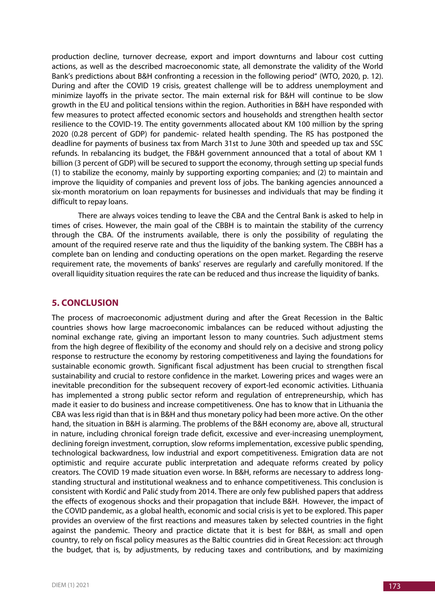production decline, turnover decrease, export and import downturns and labour cost cutting actions, as well as the described macroeconomic state, all demonstrate the validity of the World Bank's predictions about B&H confronting a recession in the following period" (WTO, 2020, p. 12). During and after the COVID 19 crisis, greatest challenge will be to address unemployment and minimize layoffs in the private sector. The main external risk for B&H will continue to be slow growth in the EU and political tensions within the region. Authorities in B&H have responded with few measures to protect affected economic sectors and households and strengthen health sector resilience to the COVID-19. The entity governments allocated about KM 100 million by the spring 2020 (0.28 percent of GDP) for pandemic- related health spending. The RS has postponed the deadline for payments of business tax from March 31st to June 30th and speeded up tax and SSC refunds. In rebalancing its budget, the FB&H government announced that a total of about KM 1 billion (3 percent of GDP) will be secured to support the economy, through setting up special funds (1) to stabilize the economy, mainly by supporting exporting companies; and (2) to maintain and improve the liquidity of companies and prevent loss of jobs. The banking agencies announced a six-month moratorium on loan repayments for businesses and individuals that may be finding it difficult to repay loans.

There are always voices tending to leave the CBA and the Central Bank is asked to help in times of crises. However, the main goal of the CBBH is to maintain the stability of the currency through the CBA. Of the instruments available, there is only the possibility of regulating the amount of the required reserve rate and thus the liquidity of the banking system. The CBBH has a complete ban on lending and conducting operations on the open market. Regarding the reserve requirement rate, the movements of banks' reserves are regularly and carefully monitored. If the overall liquidity situation requires the rate can be reduced and thus increase the liquidity of banks.

# **5. CONCLUSION**

The process of macroeconomic adjustment during and after the Great Recession in the Baltic countries shows how large macroeconomic imbalances can be reduced without adjusting the nominal exchange rate, giving an important lesson to many countries. Such adjustment stems from the high degree of flexibility of the economy and should rely on a decisive and strong policy response to restructure the economy by restoring competitiveness and laying the foundations for sustainable economic growth. Significant fiscal adjustment has been crucial to strengthen fiscal sustainability and crucial to restore confidence in the market. Lowering prices and wages were an inevitable precondition for the subsequent recovery of export-led economic activities. Lithuania has implemented a strong public sector reform and regulation of entrepreneurship, which has made it easier to do business and increase competitiveness. One has to know that in Lithuania the CBA was less rigid than that is in B&H and thus monetary policy had been more active. On the other hand, the situation in B&H is alarming. The problems of the B&H economy are, above all, structural in nature, including chronical foreign trade deficit, excessive and ever-increasing unemployment, declining foreign investment, corruption, slow reforms implementation, excessive public spending, technological backwardness, low industrial and export competitiveness. Emigration data are not optimistic and require accurate public interpretation and adequate reforms created by policy creators. The COVID 19 made situation even worse. In B&H, reforms are necessary to address longstanding structural and institutional weakness and to enhance competitiveness. This conclusion is consistent with Kordić and Palić study from 2014. There are only few published papers that address the effects of exogenous shocks and their propagation that include B&H. However, the impact of the COVID pandemic, as a global health, economic and social crisis is yet to be explored. This paper provides an overview of the first reactions and measures taken by selected countries in the fight against the pandemic. Theory and practice dictate that it is best for B&H, as small and open country, to rely on fiscal policy measures as the Baltic countries did in Great Recession: act through the budget, that is, by adjustments, by reducing taxes and contributions, and by maximizing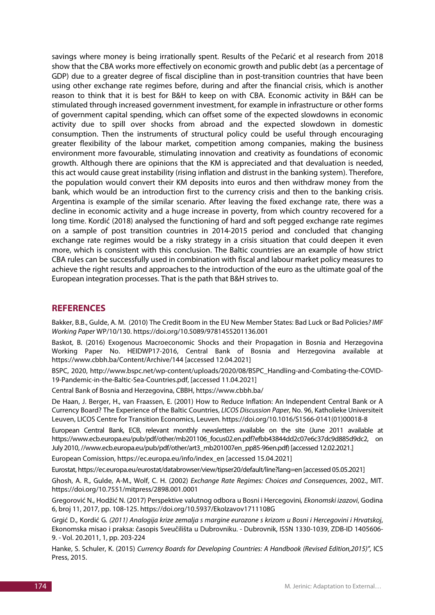savings where money is being irrationally spent. Results of the Pečarić et al research from 2018 show that the CBA works more effectively on economic growth and public debt (as a percentage of GDP) due to a greater degree of fiscal discipline than in post-transition countries that have been using other exchange rate regimes before, during and after the financial crisis, which is another reason to think that it is best for B&H to keep on with CBA. Economic activity in B&H can be stimulated through increased government investment, for example in infrastructure or other forms of government capital spending, which can offset some of the expected slowdowns in economic activity due to spill over shocks from abroad and the expected slowdown in domestic consumption. Then the instruments of structural policy could be useful through encouraging greater flexibility of the labour market, competition among companies, making the business environment more favourable, stimulating innovation and creativity as foundations of economic growth. Although there are opinions that the KM is appreciated and that devaluation is needed, this act would cause great instability (rising inflation and distrust in the banking system). Therefore, the population would convert their KM deposits into euros and then withdraw money from the bank, which would be an introduction first to the currency crisis and then to the banking crisis. Argentina is example of the similar scenario. After leaving the fixed exchange rate, there was a decline in economic activity and a huge increase in poverty, from which country recovered for a long time. Kordić (2018) analysed the functioning of hard and soft pegged exchange rate regimes on a sample of post transition countries in 2014-2015 period and concluded that changing exchange rate regimes would be a risky strategy in a crisis situation that could deepen it even more, which is consistent with this conclusion. The Baltic countries are an example of how strict CBA rules can be successfully used in combination with fiscal and labour market policy measures to achieve the right results and approaches to the introduction of the euro as the ultimate goal of the European integration processes. That is the path that B&H strives to.

# **REFERENCES**

Bakker, B.B., Gulde, A. M. (2010) The Credit Boom in the EU New Member States: Bad Luck or Bad Policies*? IMF Working Paper* WP/10/130. https://doi.org/10.5089/9781455201136.001

Baskot, B. (2016) Exogenous Macroeconomic Shocks and their Propagation in Bosnia and Herzegovina Working Paper No. HEIDWP17-2016, Central Bank of Bosnia and Herzegovina available at https://www.cbbh.ba/Content/Archive/144 [accessed 12.04.2021]

BSPC, 2020, http://www.bspc.net/wp-content/uploads/2020/08/BSPC\_Handling-and-Combating-the-COVID-19-Pandemic-in-the-Baltic-Sea-Countries.pdf, [accessed 11.04.2021]

Central Bank of Bosnia and Herzegovina, CBBH, https://www.cbbh.ba/

De Haan, J. Berger, H., van Fraassen, E. (2001) How to Reduce Inflation: An Independent Central Bank or A Currency Board? The Experience of the Baltic Countries, *LICOS Discussion Paper,* No. 96, Katholieke Universiteit Leuven, LICOS Centre for Transition Economics, Leuven. https://doi.org/10.1016/S1566-0141(01)00018-8

European Central Bank, ECB, relevant monthly newsletters available on the site (June 2011 available at https://www.ecb.europa.eu/pub/pdf/other/mb201106\_focus02.en.pdf?efbb43844dd2c07e6c37dc9d885d9dc2, on July 2010, //www.ecb.europa.eu/pub/pdf/other/art3\_mb201007en\_pp85-96en.pdf) [accessed 12.02.2021.]

European Comission, https://ec.europa.eu/info/index\_en [accessed 15.04.2021]

Eurostat, https://ec.europa.eu/eurostat/databrowser/view/tipser20/default/line?lang=en [accessed 05.05.2021]

Ghosh, A. R., Gulde, A-M., Wolf, C. H. (2002) *Exchange Rate Regimes: Choices and Consequences*, 2002., MIT. https://doi.org/10.7551/mitpress/2898.001.0001

Gregorović N., Hodžić N. (2017) Perspektive valutnog odbora u Bosni i Hercegovini*, Ekonomski izazovi*, Godina 6, broj 11, 2017, pp. 108-125. https://doi.org/10.5937/EkoIzavov1711108G

Grgić D., Kordić G*. (2011) Analogija krize zemalja s margine eurozone s krizom u Bosni i Hercegovini i Hrvatskoj*, Ekonomska misao i praksa: časopis Sveučilišta u Dubrovniku. - Dubrovnik, ISSN 1330-1039, ZDB-ID 1405606- 9. - Vol. 20.2011, 1, pp. 203-224

Hanke, S. Schuler, K. (2015) *Currency Boards for Developing Countries: A Handbook (Revised Edition,2015)",* ICS Press, 2015.